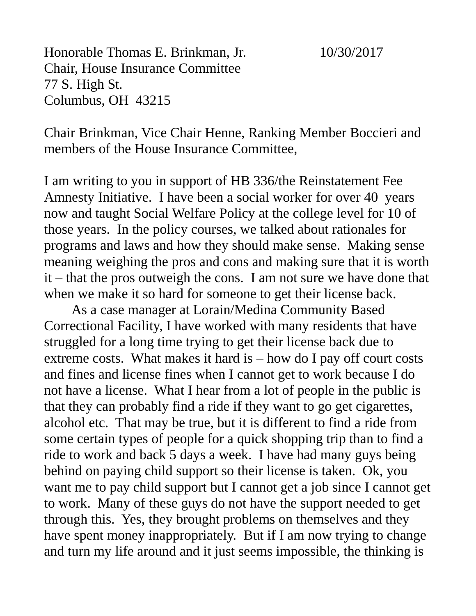Honorable Thomas E. Brinkman, Jr. 10/30/2017 Chair, House Insurance Committee 77 S. High St. Columbus, OH 43215

Chair Brinkman, Vice Chair Henne, Ranking Member Boccieri and members of the House Insurance Committee,

I am writing to you in support of HB 336/the Reinstatement Fee Amnesty Initiative. I have been a social worker for over 40 years now and taught Social Welfare Policy at the college level for 10 of those years. In the policy courses, we talked about rationales for programs and laws and how they should make sense. Making sense meaning weighing the pros and cons and making sure that it is worth it – that the pros outweigh the cons. I am not sure we have done that when we make it so hard for someone to get their license back.

As a case manager at Lorain/Medina Community Based Correctional Facility, I have worked with many residents that have struggled for a long time trying to get their license back due to extreme costs. What makes it hard is – how do I pay off court costs and fines and license fines when I cannot get to work because I do not have a license. What I hear from a lot of people in the public is that they can probably find a ride if they want to go get cigarettes, alcohol etc. That may be true, but it is different to find a ride from some certain types of people for a quick shopping trip than to find a ride to work and back 5 days a week. I have had many guys being behind on paying child support so their license is taken. Ok, you want me to pay child support but I cannot get a job since I cannot get to work. Many of these guys do not have the support needed to get through this. Yes, they brought problems on themselves and they have spent money inappropriately. But if I am now trying to change and turn my life around and it just seems impossible, the thinking is